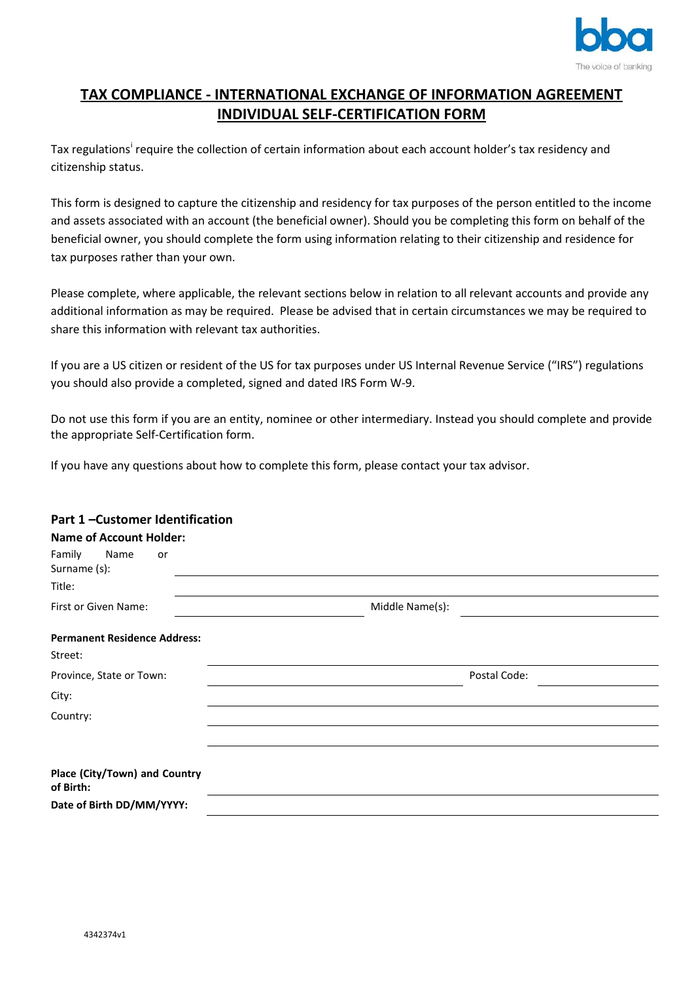

# **TAX COMPLIANCE - INTERNATIONAL EXCHANGE OF INFORMATION AGREEMENT INDIVIDUAL SELF-CERTIFICATION FORM**

Tax regulat[i](#page-2-0)ons<sup>i</sup> require the collection of certain information about each account holder's tax residency and citizenship status.

This form is designed to capture the citizenship and residency for tax purposes of the person entitled to the income and assets associated with an account (the beneficial owner). Should you be completing this form on behalf of the beneficial owner, you should complete the form using information relating to their citizenship and residence for tax purposes rather than your own.

Please complete, where applicable, the relevant sections below in relation to all relevant accounts and provide any additional information as may be required. Please be advised that in certain circumstances we may be required to share this information with relevant tax authorities.

If you are a US citizen or resident of the US for tax purposes under US Internal Revenue Service ("IRS") regulations you should also provide a completed, signed and dated IRS Form W-9.

Do not use this form if you are an entity, nominee or other intermediary. Instead you should complete and provide the appropriate Self-Certification form.

If you have any questions about how to complete this form, please contact your tax advisor.

# **Part 1 –Customer Identification**

| <b>Name of Account Holder:</b>             |                 |
|--------------------------------------------|-----------------|
| Family<br>Name<br>or<br>Surname (s):       |                 |
| Title:                                     |                 |
| First or Given Name:                       | Middle Name(s): |
| <b>Permanent Residence Address:</b>        |                 |
| Street:                                    |                 |
| Province, State or Town:                   | Postal Code:    |
| City:                                      |                 |
| Country:                                   |                 |
|                                            |                 |
| Place (City/Town) and Country<br>of Birth: |                 |
| Date of Birth DD/MM/YYYY:                  |                 |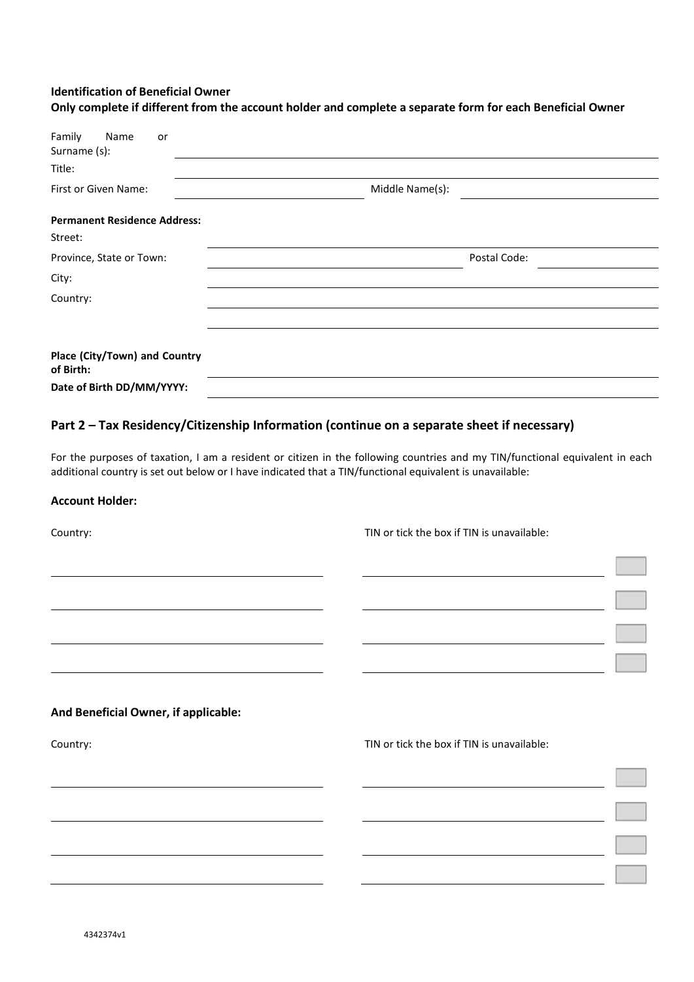## **Identification of Beneficial Owner**

| Family<br>Name<br>or<br>Surname (s):<br>Title: |                 |  |
|------------------------------------------------|-----------------|--|
| <b>First or Given Name:</b>                    | Middle Name(s): |  |
| <b>Permanent Residence Address:</b><br>Street: |                 |  |
| Province, State or Town:                       | Postal Code:    |  |
| City:                                          |                 |  |
| Country:                                       |                 |  |
|                                                |                 |  |
| Place (City/Town) and Country<br>of Birth:     |                 |  |
| Date of Birth DD/MM/YYYY:                      |                 |  |

# **Only complete if different from the account holder and complete a separate form for each Beneficial Owner**

## **Part 2 – Tax Residency/Citizenship Information (continue on a separate sheet if necessary)**

For the purposes of taxation, I am a resident or citizen in the following countries and my TIN/functional equivalent in each additional country is set out below or I have indicated that a TIN/functional equivalent is unavailable:

#### **Account Holder:**

Country: TIN or tick the box if TIN is unavailable:

#### **And Beneficial Owner, if applicable:**

Country: TIN or tick the box if TIN is unavailable: